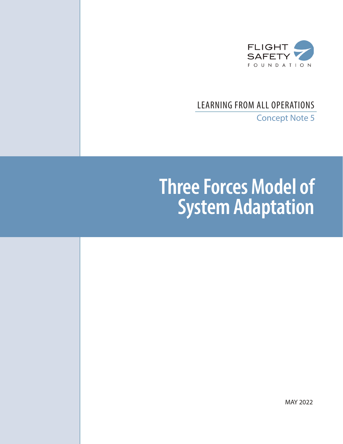

# LEARNING FROM ALL OPERATIONS

Concept Note 5

# **Three Forces Model of System Adaptation**

MAY 2022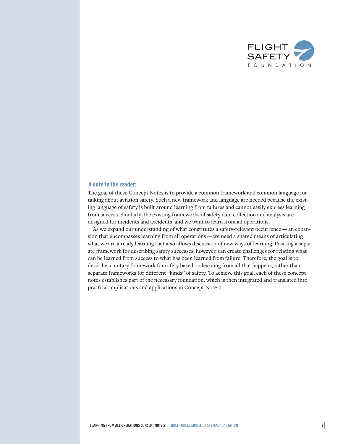

#### **A note to the reader:**

The goal of these Concept Notes is to provide a common framework and common language for talking about aviation safety. Such a new framework and language are needed because the existing language of safety is built around learning from failures and cannot easily express learning from success. Similarly, the existing frameworks of safety data collection and analysis are designed for incidents and accidents, and we want to learn from all operations.

As we expand our understanding of what constitutes a safety-relevant occurrence — an expansion that encompasses learning from all operations — we need a shared means of articulating what we are already learning that also allows discussion of new ways of learning. Positing a separate framework for describing safety successes, however, can create challenges for relating what can be learned from success to what has been learned from failure. Therefore, the goal is to describe a unitary framework for safety based on learning from all that happens, rather than separate frameworks for different "kinds" of safety. To achieve this goal, each of these concept notes establishes part of the necessary foundation, which is then integrated and translated into practical implications and applications in Concept Note 7.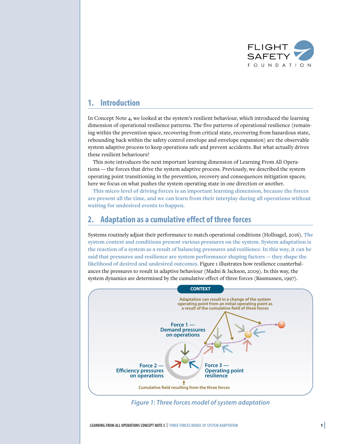

# **1. Introduction**

In Concept Note 4, we looked at the system's resilient behaviour, which introduced the learning dimension of operational resilience patterns. The five patterns of operational resilience (remaining within the prevention space, recovering from critical state, recovering from hazardous state, rebounding back within the safety control envelope and envelope expansion) are the observable system adaptive process to keep operations safe and prevent accidents. But what actually drives these resilient behaviours?

This note introduces the next important learning dimension of Learning From All Operations — the forces that drive the system adaptive process. Previously, we described the system operating point transitioning in the prevention, recovery and consequences mitigation spaces; here we focus on what pushes the system operating state in one direction or another.

**This micro level of driving forces is an important learning dimension, because the forces are present all the time, and we can learn from their interplay during all operations without waiting for undesired events to happen.**

# **2. Adaptation as a cumulative effect of three forces**

Systems routinely adjust their performance to match operational conditions (Hollnagel, 2016). **The system context and conditions present various pressures on the system. System adaptation is the reaction of a system as a result of balancing pressures and resilience. In this way, it can be said that pressures and resilience are system performance shaping factors—they shape the likelihood of desired and undesired outcomes.** Figure 1 illustrates how resilience counterbalances the pressures to result in adaptive behaviour (Madni & Jackson, 2009). In this way, the system dynamics are determined by the cumulative effect of three forces (Rasmussen, 1997).



*Figure 1: Three forces model of system adaptation*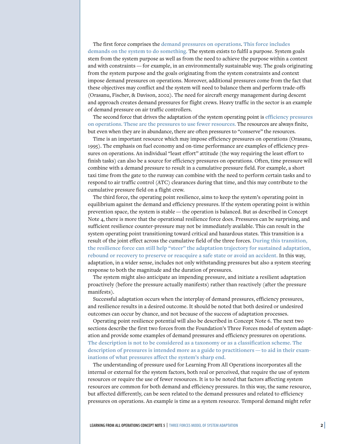The first force comprises the **demand pressures on operations**. **This force includes demands on the system to do something.** The system exists to fulfil a purpose. System goals stem from the system purpose as well as from the need to achieve the purpose within a context and with constraints — for example, in an environmentally sustainable way. The goals originating from the system purpose and the goals originating from the system constraints and context impose demand pressures on operations. Moreover, additional pressures come from the fact that these objectives may conflict and the system will need to balance them and perform trade-offs (Orasanu, Fischer, & Davison, 2002). The need for aircraft energy management during descent and approach creates demand pressures for flight crews. Heavy traffic in the sector is an example of demand pressure on air traffic controllers.

The second force that drives the adaptation of the system operating point is **efficiency pressures on operations. These are the pressures to use fewer resources.** The resources are always finite, but even when they are in abundance, there are often pressures to "conserve" the resources.

Time is an important resource which may impose efficiency pressures on operations (Orasanu, 1995). The emphasis on fuel economy and on-time performance are examples of efficiency pressures on operations. An individual "least effort" attitude (the way requiring the least effort to finish tasks) can also be a source for efficiency pressures on operations. Often, time pressure will combine with a demand pressure to result in a cumulative pressure field. For example, a short taxi time from the gate to the runway can combine with the need to perform certain tasks and to respond to air traffic control (ATC) clearances during that time, and this may contribute to the cumulative pressure field on a flight crew.

The third force, the operating point resilience, aims to keep the system's operating point in equilibrium against the demand and efficiency pressures. If the system operating point is within prevention space, the system is stable — the operation is balanced. But as described in Concept Note 4, there is more that the operational resilience force does. Pressures can be surprising, and sufficient resilience counter-pressure may not be immediately available. This can result in the system operating point transitioning toward critical and hazardous states. This transition is a result of the joint effect across the cumulative field of the three forces. **During this transition, the resilience force can still help "steer" the adaptation trajectory for sustained adaptation, rebound or recovery to preserve or reacquire a safe state or avoid an accident.** In this way, adaptation, in a wider sense, includes not only withstanding pressures but also a system steering response to both the magnitude and the duration of pressures.

The system might also anticipate an impending pressure, and initiate a resilient adaptation proactively (before the pressure actually manifests) rather than reactively (after the pressure manifests).

Successful adaptation occurs when the interplay of demand pressures, efficiency pressures, and resilience results in a desired outcome. It should be noted that both desired or undesired outcomes can occur by chance, and not because of the success of adaptation processes.

Operating point resilience potential will also be described in Concept Note 6. The next two sections describe the first two forces from the Foundation's Three Forces model of system adaptation and provide some examples of demand pressures and efficiency pressures on operations. **The description is not to be considered as a taxonomy or as a classification scheme. The description of pressures is intended more as a guide to practitioners — to aid in their examinations of what pressures affect the system's sharp end.**

The understanding of pressure used for Learning From All Operations incorporates all the internal or external for the system factors, both real or perceived, that require the use of system resources or require the use of fewer resources. It is to be noted that factors affecting system resources are common for both demand and efficiency pressures. In this way, the same resource, but affected differently, can be seen related to the demand pressures and related to efficiency pressures on operations. An example is time as a system resource. Temporal demand might refer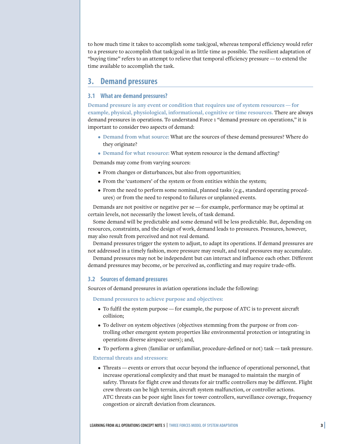to how much time it takes to accomplish some task/goal, whereas temporal efficiency would refer to a pressure to accomplish that task/goal in as little time as possible. The resilient adaptation of "buying time" refers to an attempt to relieve that temporal efficiency pressure — to extend the time available to accomplish the task.

## **3. Demand pressures**

#### **3.1 What are demand pressures?**

**Demand pressure is any event or condition that requires use of system resources — for example, physical, physiological, informational, cognitive or time resources.** There are always demand pressures in operations. To understand Force 1 "demand pressure on operations," it is important to consider two aspects of demand:

- **• Demand from what source:** What are the sources of these demand pressures? Where do they originate?
- **• Demand for what resource:** What system resource is the demand affecting?

Demands may come from varying sources:

- From changes or disturbances, but also from opportunities;
- From the 'customers' of the system or from entities within the system;
- From the need to perform some nominal, planned tasks (e.g., standard operating procedures) or from the need to respond to failures or unplanned events.

Demands are not positive or negative per se — for example, performance may be optimal at certain levels, not necessarily the lowest levels, of task demand.

Some demand will be predictable and some demand will be less predictable. But, depending on resources, constraints, and the design of work, demand leads to pressures. Pressures, however, may also result from perceived and not real demand.

Demand pressures trigger the system to adjust, to adapt its operations. If demand pressures are not addressed in a timely fashion, more pressure may result, and total pressures may accumulate.

Demand pressures may not be independent but can interact and influence each other. Different demand pressures may become, or be perceived as, conflicting and may require trade-offs.

#### **3.2 Sources of demand pressures**

Sources of demand pressures in aviation operations include the following:

**Demand pressures to achieve purpose and objectives:**

- To fulfil the system purpose for example, the purpose of ATC is to prevent aircraft collision;
- To deliver on system objectives (objectives stemming from the purpose or from controlling other emergent system properties like environmental protection or integrating in operations diverse airspace users); and,
- To perform a given (familiar or unfamiliar, procedure-defined or not) task task pressure.

**External threats and stressors:**

• Threats — events or errors that occur beyond the influence of operational personnel, that increase operational complexity and that must be managed to maintain the margin of safety. Threats for flight crew and threats for air traffic controllers may be different. Flight crew threats can be high terrain, aircraft system malfunction, or controller actions. ATC threats can be poor sight lines for tower controllers, surveillance coverage, frequency congestion or aircraft deviation from clearances.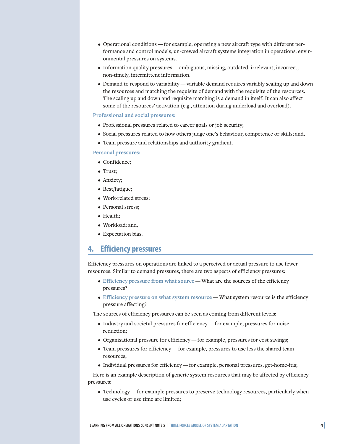- Operational conditions for example, operating a new aircraft type with different performance and control models, un-crewed aircraft systems integration in operations, environmental pressures on systems.
- Information quality pressures ambiguous, missing, outdated, irrelevant, incorrect, non-timely, intermittent information.
- Demand to respond to variability variable demand requires variably scaling up and down the resources and matching the requisite of demand with the requisite of the resources. The scaling up and down and requisite matching is a demand in itself. It can also affect some of the resources' activation (e.g., attention during underload and overload).

#### **Professional and social pressures:**

- Professional pressures related to career goals or job security;
- Social pressures related to how others judge one's behaviour, competence or skills; and,
- Team pressure and relationships and authority gradient.

#### **Personal pressures:**

- Confidence;
- Trust;
- Anxiety;
- Rest/fatigue;
- Work-related stress;
- Personal stress;
- Health;
- Workload; and,
- Expectation bias.

### **4. Efficiency pressures**

Efficiency pressures on operations are linked to a perceived or actual pressure to use fewer resources. Similar to demand pressures, there are two aspects of efficiency pressures:

- **Efficiency pressure from what source** What are the sources of the efficiency pressures?
- **Efficiency pressure on what system resource** What system resource is the efficiency pressure affecting?

The sources of efficiency pressures can be seen as coming from different levels:

- Industry and societal pressures for efficiency for example, pressures for noise reduction;
- Organisational pressure for efficiency for example, pressures for cost savings;
- Team pressures for efficiency for example, pressures to use less the shared team resources;
- Individual pressures for efficiency for example, personal pressures, get-home-itis;

Here is an example description of generic system resources that may be affected by efficiency pressures:

• Technology — for example pressures to preserve technology resources, particularly when use cycles or use time are limited;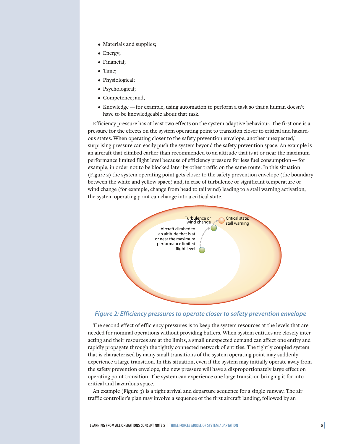- Materials and supplies;
- Energy;
- Financial;
- Time;
- Physiological;
- Psychological;
- Competence; and,
- Knowledge for example, using automation to perform a task so that a human doesn't have to be knowledgeable about that task.

Efficiency pressure has at least two effects on the system adaptive behaviour. The first one is a pressure for the effects on the system operating point to transition closer to critical and hazardous states. When operating closer to the safety prevention envelope, another unexpected/ surprising pressure can easily push the system beyond the safety prevention space. An example is an aircraft that climbed earlier than recommended to an altitude that is at or near the maximum performance limited flight level because of efficiency pressure for less fuel consumption — for example, in order not to be blocked later by other traffic on the same route. In this situation (Figure 2) the system operating point gets closer to the safety prevention envelope (the boundary between the white and yellow space) and, in case of turbulence or significant temperature or wind change (for example, change from head to tail wind) leading to a stall warning activation, the system operating point can change into a critical state.



#### *Figure 2: Efficiency pressures to operate closer to safety prevention envelope*

The second effect of efficiency pressures is to keep the system resources at the levels that are needed for nominal operations without providing buffers. When system entities are closely interacting and their resources are at the limits, a small unexpected demand can affect one entity and rapidly propagate through the tightly connected network of entities. The tightly coupled system that is characterised by many small transitions of the system operating point may suddenly experience a large transition. In this situation, even if the system may initially operate away from the safety prevention envelope, the new pressure will have a disproportionately large effect on operating point transition. The system can experience one large transition bringing it far into critical and hazardous space.

An example (Figure 3) is a tight arrival and departure sequence for a single runway. The air traffic controller's plan may involve a sequence of the first aircraft landing, followed by an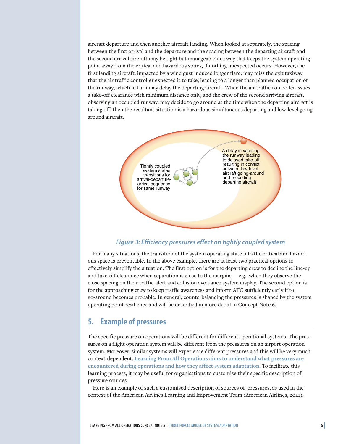aircraft departure and then another aircraft landing. When looked at separately, the spacing between the first arrival and the departure and the spacing between the departing aircraft and the second arrival aircraft may be tight but manageable in a way that keeps the system operating point away from the critical and hazardous states, if nothing unexpected occurs. However, the first landing aircraft, impacted by a wind gust induced longer flare, may miss the exit taxiway that the air traffic controller expected it to take, leading to a longer than planned occupation of the runway, which in turn may delay the departing aircraft. When the air traffic controller issues a take-off clearance with minimum distance only, and the crew of the second arriving aircraft, observing an occupied runway, may decide to go around at the time when the departing aircraft is taking off, then the resultant situation is a hazardous simultaneous departing and low-level going around aircraft.



#### *Figure 3: Efficiency pressures effect on tightly coupled system*

For many situations, the transition of the system operating state into the critical and hazardous space is preventable. In the above example, there are at least two practical options to effectively simplify the situation. The first option is for the departing crew to decline the line-up and take-off clearance when separation is close to the margins — e.g., when they observe the close spacing on their traffic-alert and collision avoidance system display. The second option is for the approaching crew to keep traffic awareness and inform ATC sufficiently early if to go-around becomes probable. In general, counterbalancing the pressures is shaped by the system operating point resilience and will be described in more detail in Concept Note 6.

## **5. Example of pressures**

The specific pressure on operations will be different for different operational systems. The pressures on a flight operation system will be different from the pressures on an airport operation system. Moreover, similar systems will experience different pressures and this will be very much context-dependent. **Learning From All Operations aims to understand what pressures are encountered during operations and how they affect system adaptation.** To facilitate this learning process, it may be useful for organisations to customise their specific description of pressure sources.

Here is an example of such a customised description of sources of pressures, as used in the context of the American Airlines Learning and Improvement Team (American Airlines, 2021).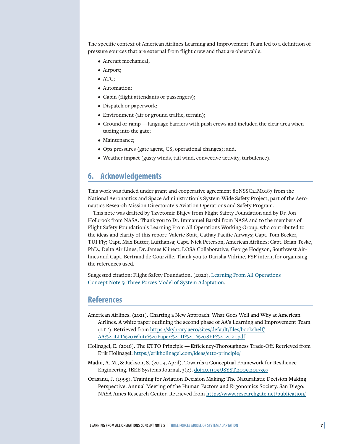The specific context of American Airlines Learning and Improvement Team led to a definition of pressure sources that are external from flight crew and that are observable:

- Aircraft mechanical;
- Airport;
- ATC;
- Automation;
- Cabin (flight attendants or passengers);
- Dispatch or paperwork;
- Environment (air or ground traffic, terrain);
- Ground or ramp language barriers with push crews and included the clear area when taxiing into the gate;
- Maintenance;
- Ops pressures (gate agent, CS, operational changes); and,
- Weather impact (gusty winds, tail wind, convective activity, turbulence).

# **6. Acknowledgements**

This work was funded under grant and cooperative agreement 80NSSC21M0187 from the National Aeronautics and Space Administration's System-Wide Safety Project, part of the Aeronautics Research Mission Directorate's Aviation Operations and Safety Program.

This note was drafted by Tzvetomir Blajev from Flight Safety Foundation and by Dr. Jon Holbrook from NASA. Thank you to Dr. Immanuel Barshi from NASA and to the members of Flight Safety Foundation's Learning From All Operations Working Group, who contributed to the ideas and clarity of this report: Valerie Stait, Cathay Pacific Airways; Capt. Tom Becker, TUI Fly; Capt. Max Butter, Lufthansa; Capt. Nick Peterson, American Airlines; Capt. Brian Teske, PhD., Delta Air Lines; Dr. James Klinect, LOSA Collaborative; George Hodgson, Southwest Airlines and Capt. Bertrand de Courville. Thank you to Darisha Vidrine, FSF intern, for organising the references used.

Suggested citation: Flight Safety Foundation. (2022). [Learning From All Operations](https://flightsafety.org/toolkits-resources/learning-from-all-operations/) [Concept Note 5: Three Forces Model of System Adaptation.](https://flightsafety.org/toolkits-resources/learning-from-all-operations/)

## **References**

- American Airlines. (2021). Charting a New Approach: What Goes Well and Why at American Airlines. A white paper outlining the second phase of AA's Learning and Improvement Team (LIT). Retrieved from [https://skybrary.aero/sites/default/files/bookshelf/](https://skybrary.aero/sites/default/files/bookshelf/AA%20LIT%20White%20Paper%20II%20-%20SEP%202021.pdf) [AA%20LIT%20White%20Paper%20II%20-%20SEP%202021.pdf](https://skybrary.aero/sites/default/files/bookshelf/AA%20LIT%20White%20Paper%20II%20-%20SEP%202021.pdf)
- Hollnagel, E. (2016). The ETTO Principle Efficiency-Thoroughness Trade-Off. Retrieved from Erik Hollnagel: <https://erikhollnagel.com/ideas/etto-principle/>
- Madni, A. M., & Jackson, S. (2009, April). Towards a Conceptual Framework for Resilience Engineering. IEEE Systems Journal, 3(2). [doi:10.1109/JSYST.2009.2017397](https://doi.org/10.1109/JSYST.2009.2017397)
- Orasanu, J. (1995). Training for Aviation Decision Making: The Naturalistic Decision Making Perspective. Annual Meeting of the Human Factors and Ergonomics Society. San Diego: NASA Ames Research Center. Retrieved from [https://www.researchgate.net/publication/](https://www.researchgate.net/publication/24150932_Training_for_Aviation_Decision_Making_The_Naturalistic_Decision_Making_Perspective)